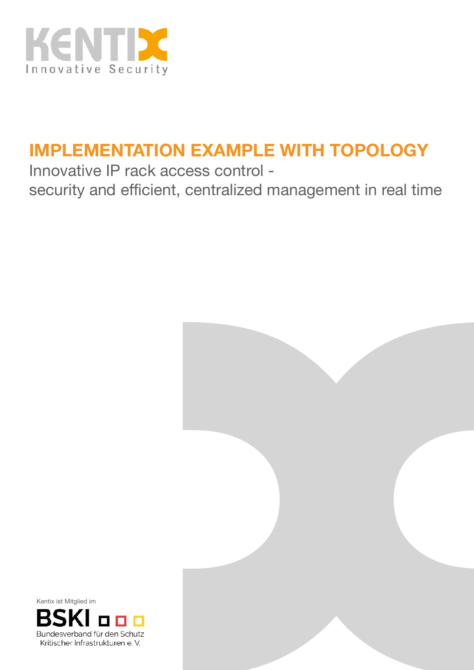

# **IMPLEMENTATION EXAMPLE WITH TOPOLOGY**

Innovative IP rack access control security and efficient, centralized management in real time



Kentix ist Mitglied im

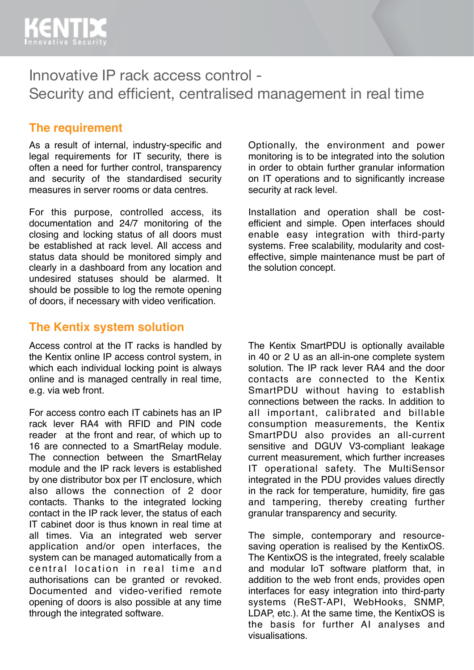

### Innovative IP rack access control - Security and efficient, centralised management in real time

#### **The requirement**

As a result of internal, industry-specific and legal requirements for IT security, there is often a need for further control, transparency and security of the standardised security measures in server rooms or data centres.

For this purpose, controlled access, its documentation and 24/7 monitoring of the closing and locking status of all doors must be established at rack level. All access and status data should be monitored simply and clearly in a dashboard from any location and undesired statuses should be alarmed. It should be possible to log the remote opening of doors, if necessary with video verification.

#### **The Kentix system solution**

Access control at the IT racks is handled by the Kentix online IP access control system, in which each individual locking point is always online and is managed centrally in real time, e.g. via web front.

For access contro each IT cabinets has an IP rack lever RA4 with RFID and PIN code reader at the front and rear, of which up to 16 are connected to a SmartRelay module. The connection between the SmartRelay module and the IP rack levers is established by one distributor box per IT enclosure, which also allows the connection of 2 door contacts. Thanks to the integrated locking contact in the IP rack lever, the status of each IT cabinet door is thus known in real time at all times. Via an integrated web server application and/or open interfaces, the system can be managed automatically from a central location in real time and authorisations can be granted or revoked. Documented and video-verified remote opening of doors is also possible at any time through the integrated software.

Optionally, the environment and power monitoring is to be integrated into the solution in order to obtain further granular information on IT operations and to significantly increase security at rack level.

Installation and operation shall be costefficient and simple. Open interfaces should enable easy integration with third-party systems. Free scalability, modularity and costeffective, simple maintenance must be part of the solution concept.

The Kentix SmartPDU is optionally available in 40 or 2 U as an all-in-one complete system solution. The IP rack lever RA4 and the door contacts are connected to the Kentix SmartPDU without having to establish connections between the racks. In addition to all important, calibrated and billable consumption measurements, the Kentix SmartPDU also provides an all-current sensitive and DGUV V3-compliant leakage current measurement, which further increases IT operational safety. The MultiSensor integrated in the PDU provides values directly in the rack for temperature, humidity, fire gas and tampering, thereby creating further granular transparency and security.

The simple, contemporary and resourcesaving operation is realised by the KentixOS. The KentixOS is the integrated, freely scalable and modular IoT software platform that, in addition to the web front ends, provides open interfaces for easy integration into third-party systems (ReST-API, WebHooks, SNMP, LDAP, etc.). At the same time, the KentixOS is the basis for further AI analyses and visualisations.